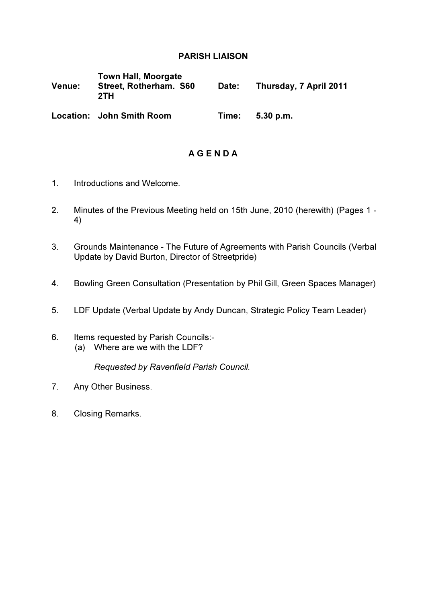## PARISH LIAISON

| Venue: | <b>Town Hall, Moorgate</b><br>Street, Rotherham. S60<br>2TH | Date: | Thursday, 7 April 2011 |
|--------|-------------------------------------------------------------|-------|------------------------|
|        | Location: John Smith Room                                   | Time: | 5.30 p.m.              |

# A G E N D A

- 1. Introductions and Welcome.
- 2. Minutes of the Previous Meeting held on 15th June, 2010 (herewith) (Pages 1 4)
- 3. Grounds Maintenance The Future of Agreements with Parish Councils (Verbal Update by David Burton, Director of Streetpride)
- 4. Bowling Green Consultation (Presentation by Phil Gill, Green Spaces Manager)
- 5. LDF Update (Verbal Update by Andy Duncan, Strategic Policy Team Leader)
- 6. Items requested by Parish Councils:- (a) Where are we with the LDF?

Requested by Ravenfield Parish Council.

- 7. Any Other Business.
- 8. Closing Remarks.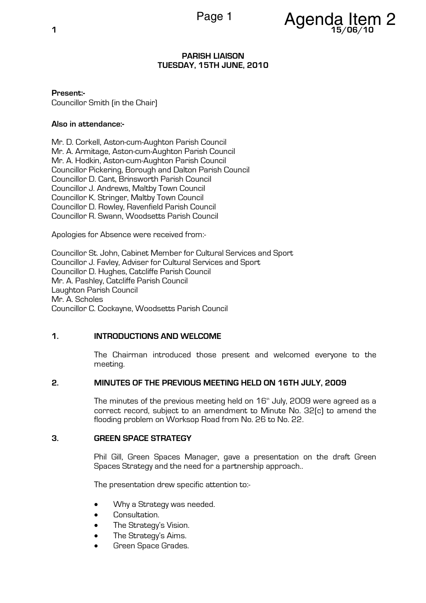

#### PARISH LIAISON TUESDAY, 15TH JUNE, 2010

Present:- Councillor Smith (in the Chair)

## Also in attendance:-

Mr. D. Corkell, Aston-cum-Aughton Parish Council Mr. A. Armitage, Aston-cum-Aughton Parish Council Mr. A. Hodkin, Aston-cum-Aughton Parish Council Councillor Pickering, Borough and Dalton Parish Council Councillor D. Cant, Brinsworth Parish Council Councillor J. Andrews, Maltby Town Council Councillor K. Stringer, Maltby Town Council Councillor D. Rowley, Ravenfield Parish Council Councillor R. Swann, Woodsetts Parish Council

Apologies for Absence were received from:-

Councillor St. John, Cabinet Member for Cultural Services and Sport Councillor J. Favley, Adviser for Cultural Services and Sport Councillor D. Hughes, Catcliffe Parish Council Mr. A. Pashley, Catcliffe Parish Council Laughton Parish Council Mr. A. Scholes Councillor C. Cockayne, Woodsetts Parish Council

## 1. INTRODUCTIONS AND WELCOME

The Chairman introduced those present and welcomed everyone to the meeting.

## 2. MINUTES OF THE PREVIOUS MEETING HELD ON 16TH JULY, 2009

The minutes of the previous meeting held on  $16<sup>th</sup>$  July, 2009 were agreed as a correct record, subject to an amendment to Minute No. 32(c) to amend the flooding problem on Worksop Road from No. 26 to No. 22.

## 3. GREEN SPACE STRATEGY

Phil Gill, Green Spaces Manager, gave a presentation on the draft Green Spaces Strategy and the need for a partnership approach..

The presentation drew specific attention to:-

- Why a Strategy was needed.
- Consultation.
- The Strategy's Vision.
- The Strategy's Aims.
- Green Space Grades.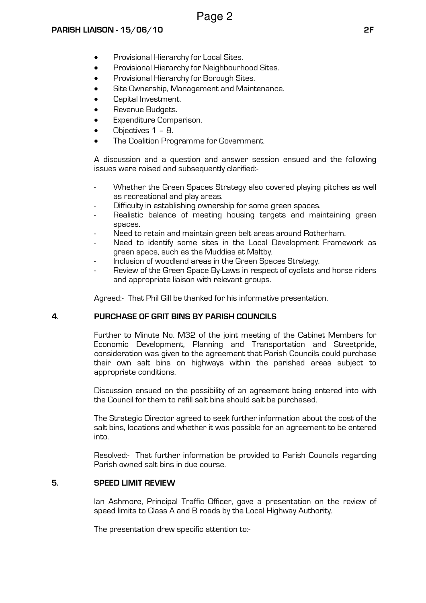- Provisional Hierarchy for Local Sites.
- Provisional Hierarchy for Neighbourhood Sites.
- Provisional Hierarchy for Borough Sites.
- Site Ownership, Management and Maintenance.
- Capital Investment.
- Revenue Budgets.
- Expenditure Comparison.
- Objectives 1 8.
- The Coalition Programme for Government.

A discussion and a question and answer session ensued and the following issues were raised and subsequently clarified:-

- Whether the Green Spaces Strategy also covered playing pitches as well as recreational and play areas.
- Difficulty in establishing ownership for some green spaces.
- Realistic balance of meeting housing targets and maintaining green spaces.
- Need to retain and maintain green belt areas around Rotherham.
- Need to identify some sites in the Local Development Framework as green space, such as the Muddies at Maltby.
- Inclusion of woodland areas in the Green Spaces Strategy.
- Review of the Green Space By-Laws in respect of cyclists and horse riders and appropriate liaison with relevant groups.

Agreed:- That Phil Gill be thanked for his informative presentation.

## 4. PURCHASE OF GRIT BINS BY PARISH COUNCILS

Further to Minute No. M32 of the joint meeting of the Cabinet Members for Economic Development, Planning and Transportation and Streetpride, consideration was given to the agreement that Parish Councils could purchase their own salt bins on highways within the parished areas subject to appropriate conditions.

Discussion ensued on the possibility of an agreement being entered into with the Council for them to refill salt bins should salt be purchased.

The Strategic Director agreed to seek further information about the cost of the salt bins, locations and whether it was possible for an agreement to be entered into.

Resolved:- That further information be provided to Parish Councils regarding Parish owned salt bins in due course.

## 5. SPEED LIMIT REVIEW

Ian Ashmore, Principal Traffic Officer, gave a presentation on the review of speed limits to Class A and B roads by the Local Highway Authority.

The presentation drew specific attention to:-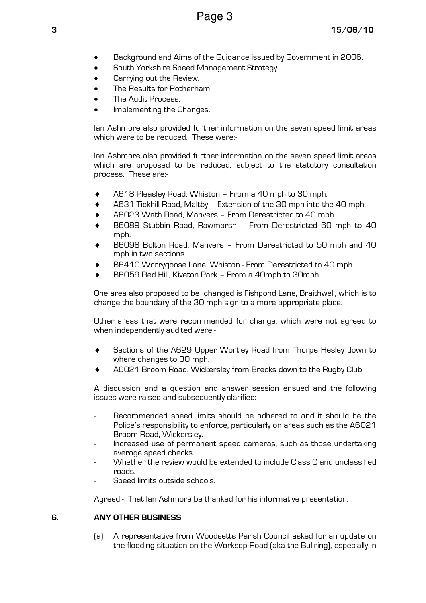- Background and Aims of the Guidance issued by Government in 2006.
- South Yorkshire Speed Management Strategy.
- Carrying out the Review.
- The Results for Rotherham.
- The Audit Process.
- Implementing the Changes.

Ian Ashmore also provided further information on the seven speed limit areas which were to be reduced. These were:-

Ian Ashmore also provided further information on the seven speed limit areas which are proposed to be reduced, subject to the statutory consultation process. These are:-

- A618 Pleasley Road, Whiston From a 40 mph to 30 mph.
- ♦ A631 Tickhill Road, Maltby Extension of the 30 mph into the 40 mph.
- A6023 Wath Road, Manvers From Derestricted to 40 mph.
- B6089 Stubbin Road, Rawmarsh From Derestricted 60 mph to 40 mph.
- B6098 Bolton Road, Manyers From Derestricted to 50 mph and 40 mph in two sections.
- B6410 Worrygoose Lane, Whiston From Derestricted to 40 mph.
- B6059 Red Hill, Kiveton Park From a 40mph to 30mph

One area also proposed to be changed is Fishpond Lane, Braithwell, which is to change the boundary of the 30 mph sign to a more appropriate place.

Other areas that were recommended for change, which were not agreed to when independently audited were:-

- Sections of the A629 Upper Wortley Road from Thorpe Hesley down to where changes to 30 mph.
- A6021 Broom Road, Wickersley from Brecks down to the Rugby Club.

A discussion and a question and answer session ensued and the following issues were raised and subsequently clarified:-

- Recommended speed limits should be adhered to and it should be the Police's responsibility to enforce, particularly on areas such as the A6021 Broom Road, Wickersley.
- Increased use of permanent speed cameras, such as those undertaking average speed checks.
- Whether the review would be extended to include Class C and unclassified roads.
- Speed limits outside schools.

Agreed:- That Ian Ashmore be thanked for his informative presentation.

## 6. ANY OTHER BUSINESS

(a) A representative from Woodsetts Parish Council asked for an update on the flooding situation on the Worksop Road (aka the Bullring), especially in